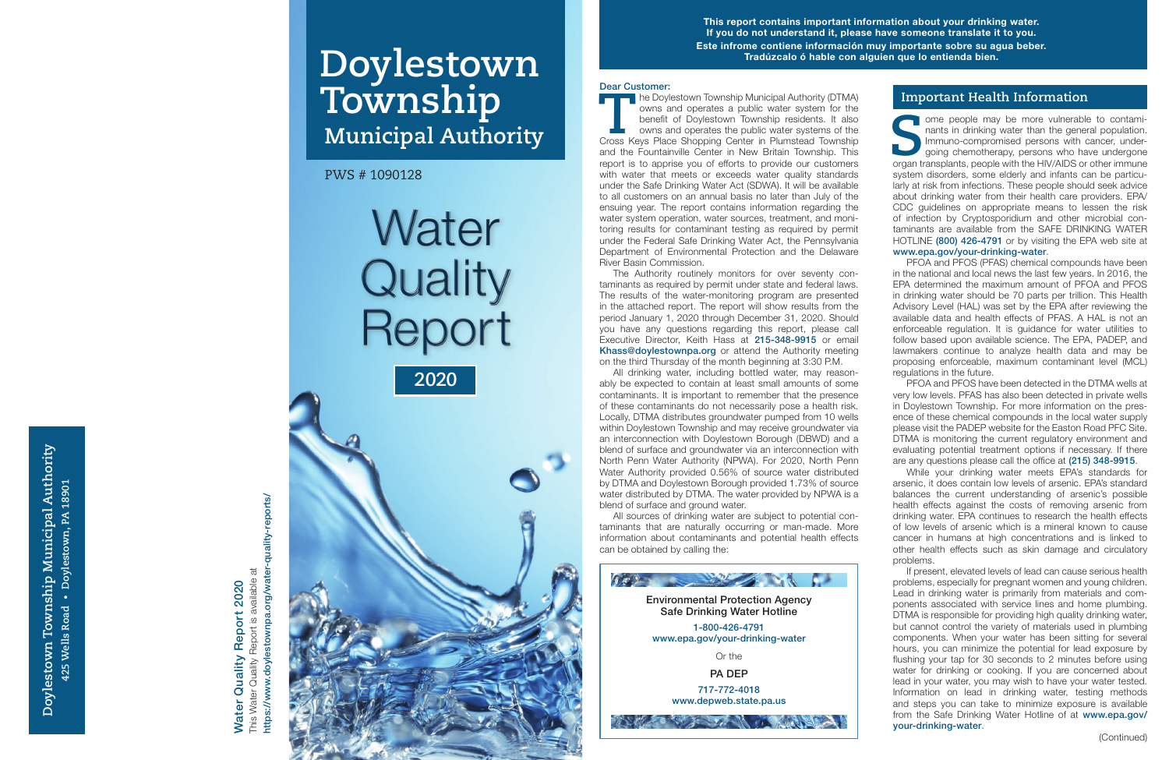Doylestown Township Municipal Authority **Doylestown Township Municipal Authority** 425 Wells Road . Doylestown, PA 18901 **425 Wells Road • Doylestown, PA 18901**

**T he Doylestown Township Municipal Authority (DTMA)** owns and operates a public water system for the benefit of Doylestown Township residents. It also owns and operates the public water systems of the Cross Keys Place Shopping Center in Plumstead Township and the Fountainville Center in New Britain Township. This report is to apprise you of efforts to provide our customers with water that meets or exceeds water quality standards under the Safe Drinking Water Act (SDWA). It will be available to all customers on an annual basis no later than July of the ensuing year. The report contains information regarding the water system operation, water sources, treatment, and moni toring results for contaminant testing as required by permit under the Federal Safe Drinking Water Act, the Pennsylvania Department of Environmental Protection and the Delaware River Basin Commission.

The Authority routinely monitors for over seventy con taminants as required by permit under state and federal laws. The results of the water-monitoring program are presented in the attached report. The report will show results from the period January 1, 2020 through December 31, 2020. Should you have any questions regarding this report, please call Executive Director, Keith Hass at 215-348-9915 or email Khass@doylestownpa.org or attend the Authority meeting on the third Thursday of the month beginning at 3:30 P.M.

**Some people may be more vulnerable to contaminants in drinking water than the general population.<br>
Immuno-compromised persons with cancer, undergoing chemotherapy, persons who have undergone organ transplants, people with** ome people may be more vulnerable to contaminants in drinking water than the general population. Immuno-compromised persons with cancer, under going chemotherapy, persons who have undergone system disorders, some elderly and infants can be particu larly at risk from infections. These people should seek advice about drinking water from their health care providers. EPA/ CDC guidelines on appropriate means to lessen the risk of infection by Cryptosporidium and other microbial con taminants are available from the SAFE DRINKING WATER HOTLINE (800) 426-4791 or by visiting the EPA web site at www.epa.gov/your-drinking-water.

All drinking water, including bottled water, may reason ably be expected to contain at least small amounts of some contaminants. It is important to remember that the presence of these contaminants do not necessarily pose a health risk. Locally, DTMA distributes groundwater pumped from 10 wells within Doylestown Township and may receive groundwater via an interconnection with Doylestown Borough (DBWD) and a blend of surface and groundwater via an interconnection with North Penn Water Authority (NPWA). For 2020, North Penn Water Authority provided 0.56% of source water distributed by DTMA and Doylestown Borough provided 1.73% of source water distributed by DTMA. The water provided by NPWA is a blend of surface and ground water.

PFOA and PFOS have been detected in the DTMA wells at very low levels. PFAS has also been detected in private wells in Doylestown Township. For more information on the pres ence of these chemical compounds in the local water supply please visit the PADEP website for the Easton Road PFC Site. DTMA is monitoring the current regulatory environment and evaluating potential treatment options if necessary. If there are any questions please call the office at (215) 348-9915.

All sources of drinking water are subject to potential con taminants that are naturally occurring or man-made. More information about contaminants and potential health effects can be obtained by calling the:

#### **Important Health Information**

## This Water Quality Report is available at Report is available at 2020 Water Quality Report 2020 Report 2 Quality This Water Quality Water

quality-reports/ https://www.doylestownpa.org/water-quality-reports/ https://www.doylestownpa.org/water-

**Water Quality** Report **2020**

PFOA and PFOS (PFAS) chemical compounds have been in the national and local news the last few years. In 2016, the EPA determined the maximum amount of PFOA and PFOS in drinking water should be 70 parts per trillion. This Health Advisory Level (HAL) was set by the EPA after reviewing the available data and health effects of PFAS. A HAL is not an enforceable regulation. It is guidance for water utilities to follow based upon available science. The EPA, PADEP, and lawmakers continue to analyze health data and may be proposing enforceable, maximum contaminant level (MCL) regulations in the future.

While your drinking water meets EPA's standards for arsenic, it does contain low levels of arsenic. EPA's standard balances the current understanding of arsenic's possible health effects against the costs of removing arsenic from drinking water. EPA continues to research the health effects of low levels of arsenic which is a mineral known to cause cancer in humans at high concentrations and is linked to other health effects such as skin damage and circulatory problems.

If present, elevated levels of lead can cause serious health problems, especially for pregnant women and young children. Lead in drinking water is primarily from materials and com ponents associated with service lines and home plumbing. DTMA is responsible for providing high quality drinking water, but cannot control the variety of materials used in plumbing components. When your water has been sitting for several hours, you can minimize the potential for lead exposure by flushing your tap for 30 seconds to 2 minutes before using water for drinking or cooking. If you are concerned about lead in your water, you may wish to have your water tested. Information on lead in drinking water, testing methods and steps you can take to minimize exposure is available from the Safe Drinking Water Hotline of at www.epa.gov/ your-drinking-water .

PWS # 1090128

# **Doylestown Township Municipal Authority**

#### Dear Customer: